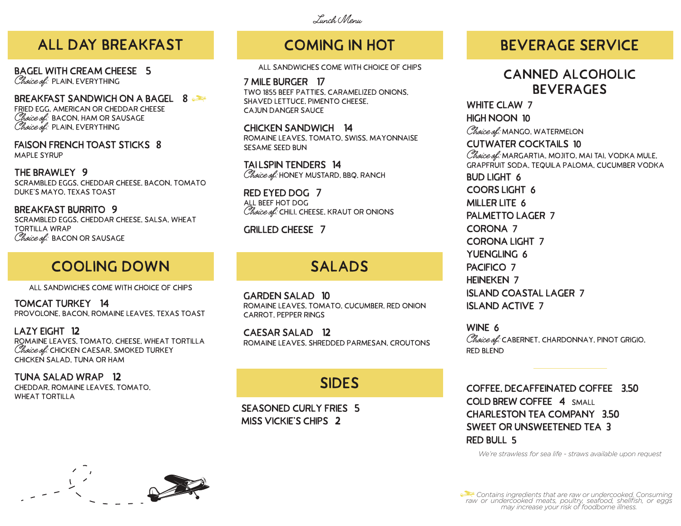#### Lunch Menu

#### **All Day Breakfast**

**Bagel with Cream Cheese 5** Choice of: PLAIN, EVERYTHING

**Breakfast Sandwich on a BageL 8** fried egg, american or cheddar cheese  $Choice$   $ef$ : BACON, HAM OR SAUSAGE Choice of: PLAIN, EVERYTHING

**faison french toast sticks 8** MAPI F SYRUP

**the brawley 9** scrambled eggs, cheddar cheese, bacon, tomato duke's Mayo, texas toast

**Breakfast burrito 9** scrambled eggs, cheddar cheese, salsa, wheat tortilla wrap Choice of: BACON OR SAUSAGE

#### **cooling down**

all sandwiches come with choice of chips

**tomcat Turkey 14** provolone, bacon, romaine leaves, texas toast

**lazy eight 12** romaine leaves, tomato, cheese, wheat tortilla Choice of: CHICKEN CAESAR, SMOKED TURKEY chicken salad, tuna or ham

**tuna salad wrap 12** cheddar, romaine leaves, tomato, WHEAT TORTILLA



## **coming in hot**

all sandwiches come with choice of chips

**7 mile burger 17** two 1855 beef patties, caramelized onions, shaved lettuce, pimento cheese, cajun danger sauce

**chicken sandwich 14** romaine leaves, tomato, Swiss, mayonnaise sesame seed bun

**tai lspin Tenders 14** Choice of: HONEY MUSTARD, BBQ, RANCH

**red eyed Dog 7** all beef hot dog Choice of: CHILI, CHEESE, KRAUT OR ONIONS

**grilled cheese 7**

#### **salads**

**Garden Salad 10** romaine leaves, tomato, cucumber, red onion carrot, pepper rings

**Caesar Salad 12** romaine leaves, shredded parmesan, croutons

#### **sides**

**Seasoned Curly Fries 5 Miss Vickie's chips 2**

#### **beverage service**

#### **canned alcoholic beverages**

**white claw 7 high noon 10** Choice of: MANGO, WATERMELON **cutwater cocktails 10** Choice of: MARGARTIA, MOJITO, MAI TAI, VODKA MULE, grapfruit soda, tequila paloma, cucumber vodka **bud light 6 coors light 6 miller lite 6 palmetto lager 7 corona 7 corona light 7 yuengling 6 pacifico 7 heineken 7 island coastal lager 7 island active 7**

**wine 6**   $Choice$  of: CABERNET, CHARDONNAY, PINOT GRIGIO, RFD BLFND

**Coffee, Decaffeinated Coffee 3.50 cold brew coffee 4** small **Charleston Tea Company 3.50 Sweet or Unsweetened Tea 3 red bull 5**

*We're strawless for sea life - straws available upon request*

 *Contains ingredients that are raw or undercooked. Consuming raw or undercooked meats, poultry, seafood, shellfish, or eggs may increase your risk of foodborne illness.*